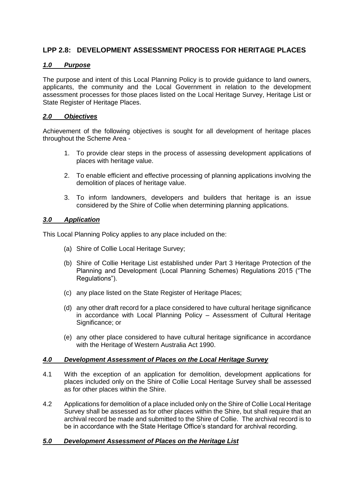# **LPP 2.8: DEVELOPMENT ASSESSMENT PROCESS FOR HERITAGE PLACES**

# *1.0 Purpose*

The purpose and intent of this Local Planning Policy is to provide guidance to land owners, applicants, the community and the Local Government in relation to the development assessment processes for those places listed on the Local Heritage Survey, Heritage List or State Register of Heritage Places.

# *2.0 Objectives*

Achievement of the following objectives is sought for all development of heritage places throughout the Scheme Area -

- 1. To provide clear steps in the process of assessing development applications of places with heritage value.
- 2. To enable efficient and effective processing of planning applications involving the demolition of places of heritage value.
- 3. To inform landowners, developers and builders that heritage is an issue considered by the Shire of Collie when determining planning applications.

## *3.0 Application*

This Local Planning Policy applies to any place included on the:

- (a) Shire of Collie Local Heritage Survey;
- (b) Shire of Collie Heritage List established under Part 3 Heritage Protection of the Planning and Development (Local Planning Schemes) Regulations 2015 ("The Regulations").
- (c) any place listed on the State Register of Heritage Places;
- (d) any other draft record for a place considered to have cultural heritage significance in accordance with Local Planning Policy – Assessment of Cultural Heritage Significance: or
- (e) any other place considered to have cultural heritage significance in accordance with the Heritage of Western Australia Act 1990.

## *4.0 Development Assessment of Places on the Local Heritage Survey*

- 4.1 With the exception of an application for demolition, development applications for places included only on the Shire of Collie Local Heritage Survey shall be assessed as for other places within the Shire.
- 4.2 Applications for demolition of a place included only on the Shire of Collie Local Heritage Survey shall be assessed as for other places within the Shire, but shall require that an archival record be made and submitted to the Shire of Collie. The archival record is to be in accordance with the State Heritage Office's standard for archival recording.

## *5.0 Development Assessment of Places on the Heritage List*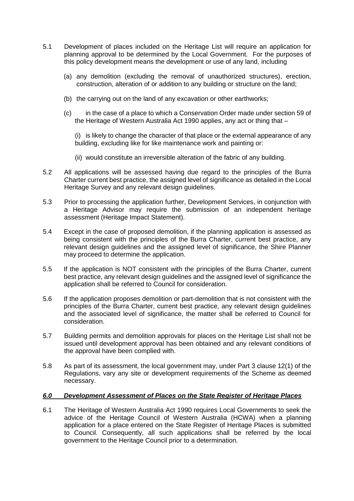- 5.1 Development of places included on the Heritage List will require an application for planning approval to be determined by the Local Government. For the purposes of this policy development means the development or use of any land, including
	- (a) any demolition (excluding the removal of unauthorized structures), erection, construction, alteration of or addition to any building or structure on the land;
	- (b) the carrying out on the land of any excavation or other earthworks;
	- (c) in the case of a place to which a Conservation Order made under section 59 of the Heritage of Western Australia Act 1990 applies, any act or thing that –

(i) is likely to change the character of that place or the external appearance of any building, excluding like for like maintenance work and painting or:

- (ii) would constitute an irreversible alteration of the fabric of any building.
- 5.2 All applications will be assessed having due regard to the principles of the Burra Charter current best practice, the assigned level of significance as detailed in the Local Heritage Survey and any relevant design guidelines.
- 5.3 Prior to processing the application further, Development Services, in conjunction with a Heritage Advisor may require the submission of an independent heritage assessment (Heritage Impact Statement).
- 5.4 Except in the case of proposed demolition, if the planning application is assessed as being consistent with the principles of the Burra Charter, current best practice, any relevant design guidelines and the assigned level of significance, the Shire Planner may proceed to determine the application.
- 5.5 If the application is NOT consistent with the principles of the Burra Charter, current best practice, any relevant design guidelines and the assigned level of significance the application shall be referred to Council for consideration.
- 5.6 If the application proposes demolition or part-demolition that is not consistent with the principles of the Burra Charter, current best practice, any relevant design guidelines and the associated level of significance, the matter shall be referred to Council for consideration.
- 5.7 Building permits and demolition approvals for places on the Heritage List shall not be issued until development approval has been obtained and any relevant conditions of the approval have been complied with.
- 5.8 As part of its assessment, the local government may, under Part 3 clause 12(1) of the Regulations, vary any site or development requirements of the Scheme as deemed necessary.

## *6.0 Development Assessment of Places on the State Register of Heritage Places*

6.1 The Heritage of Western Australia Act 1990 requires Local Governments to seek the advice of the Heritage Council of Western Australia (HCWA) when a planning application for a place entered on the State Register of Heritage Places is submitted to Council. Consequently, all such applications shall be referred by the local government to the Heritage Council prior to a determination.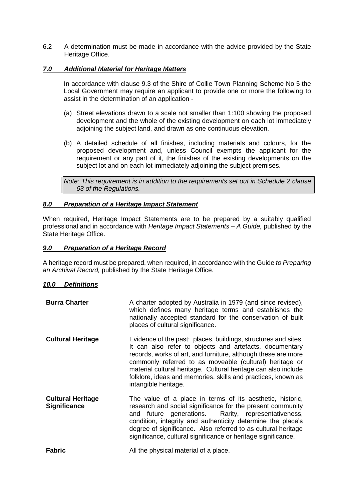6.2 A determination must be made in accordance with the advice provided by the State Heritage Office.

## *7.0 Additional Material for Heritage Matters*

In accordance with clause 9.3 of the Shire of Collie Town Planning Scheme No 5 the Local Government may require an applicant to provide one or more the following to assist in the determination of an application -

- (a) Street elevations drawn to a scale not smaller than 1:100 showing the proposed development and the whole of the existing development on each lot immediately adjoining the subject land, and drawn as one continuous elevation.
- (b) A detailed schedule of all finishes, including materials and colours, for the proposed development and, unless Council exempts the applicant for the requirement or any part of it, the finishes of the existing developments on the subject lot and on each lot immediately adjoining the subject premises.

*Note: This requirement is in addition to the requirements set out in Schedule 2 clause 63 of the Regulations.* 

#### *8.0 Preparation of a Heritage Impact Statement*

When required, Heritage Impact Statements are to be prepared by a suitably qualified professional and in accordance with *Heritage Impact Statements – A Guide,* published by the State Heritage Office.

#### *9.0 Preparation of a Heritage Record*

A heritage record must be prepared, when required, in accordance with the Guide *to Preparing an Archival Record,* published by the State Heritage Office.

## *10.0 Definitions*

| <b>Burra Charter</b>                            | A charter adopted by Australia in 1979 (and since revised),<br>which defines many heritage terms and establishes the<br>nationally accepted standard for the conservation of built<br>places of cultural significance.                                                                                                                                                                                          |
|-------------------------------------------------|-----------------------------------------------------------------------------------------------------------------------------------------------------------------------------------------------------------------------------------------------------------------------------------------------------------------------------------------------------------------------------------------------------------------|
| <b>Cultural Heritage</b>                        | Evidence of the past: places, buildings, structures and sites.<br>It can also refer to objects and artefacts, documentary<br>records, works of art, and furniture, although these are more<br>commonly referred to as moveable (cultural) heritage or<br>material cultural heritage. Cultural heritage can also include<br>folklore, ideas and memories, skills and practices, known as<br>intangible heritage. |
| <b>Cultural Heritage</b><br><b>Significance</b> | The value of a place in terms of its aesthetic, historic,<br>research and social significance for the present community<br>and future generations. Rarity, representativeness,<br>condition, integrity and authenticity determine the place's<br>degree of significance. Also referred to as cultural heritage<br>significance, cultural significance or heritage significance.                                 |
| <b>Fabric</b>                                   | All the physical material of a place.                                                                                                                                                                                                                                                                                                                                                                           |